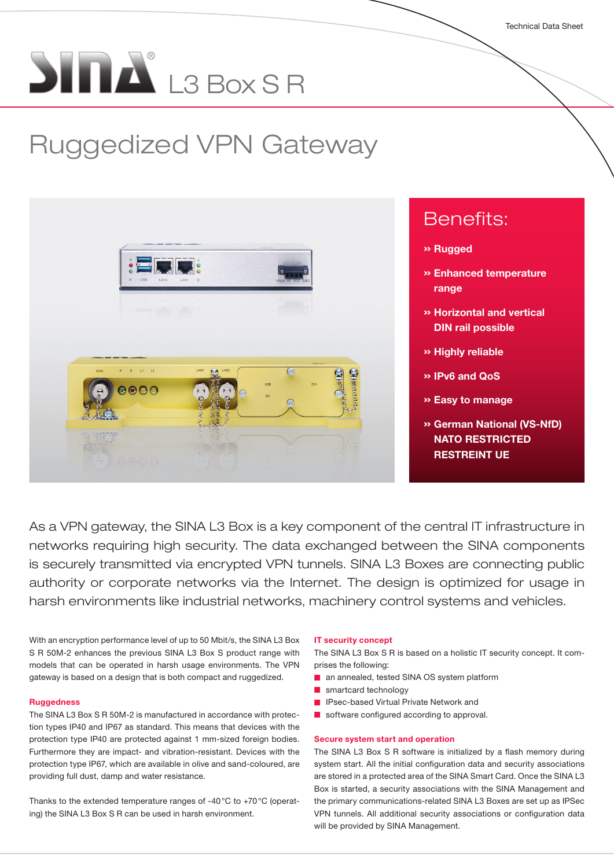# $\sum_{i=1}^{n} \prod_{i=1}^{n} L_{i}^{s}$  Eqs. S.B.

# Ruggedized VPN Gateway



As a VPN gateway, the SINA L3 Box is a key component of the central IT infrastructure in networks requiring high security. The data exchanged between the SINA components is securely transmitted via encrypted VPN tunnels. SINA L3 Boxes are connecting public authority or corporate networks via the Internet. The design is optimized for usage in harsh environments like industrial networks, machinery control systems and vehicles.

With an encryption performance level of up to 50 Mbit/s, the SINA L3 Box S R 50M-2 enhances the previous SINA L3 Box S product range with models that can be operated in harsh usage environments. The VPN gateway is based on a design that is both compact and ruggedized.

#### Ruggedness

The SINA L3 Box S R 50M-2 is manufactured in accordance with protection types IP40 and IP67 as standard. This means that devices with the protection type IP40 are protected against 1 mm-sized foreign bodies. Furthermore they are impact- and vibration-resistant. Devices with the protection type IP67, which are available in olive and sand-coloured, are providing full dust, damp and water resistance.

Thanks to the extended temperature ranges of -40°C to +70°C (operating) the SINA L3 Box S R can be used in harsh environment.

#### IT security concept

The SINA L3 Box S R is based on a holistic IT security concept. It comprises the following:

- an annealed, tested SINA OS system platform
- smartcard technology
- IPsec-based Virtual Private Network and
- software configured according to approval.

#### Secure system start and operation

The SINA L3 Box S R software is initialized by a flash memory during system start. All the initial configuration data and security associations are stored in a protected area of the SINA Smart Card. Once the SINA L3 Box is started, a security associations with the SINA Management and the primary communications-related SINA L3 Boxes are set up as IPSec VPN tunnels. All additional security associations or configuration data will be provided by SINA Management.